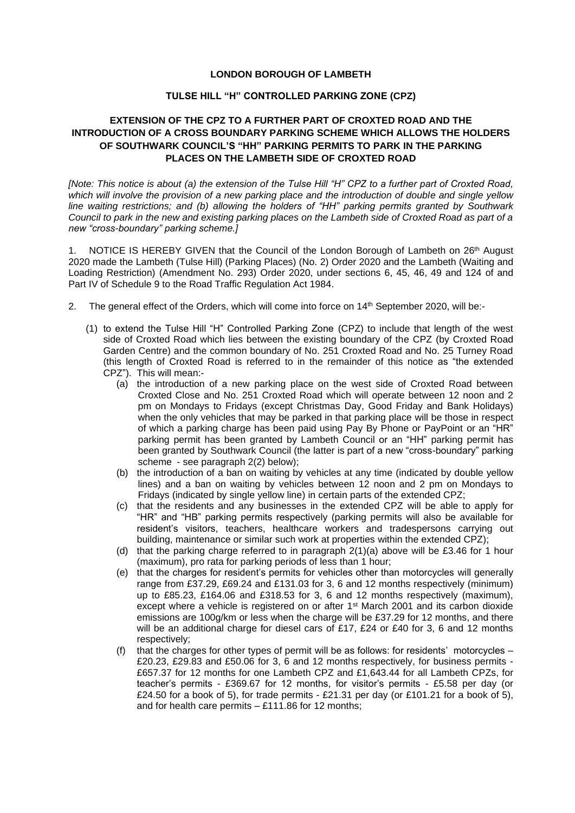## **LONDON BOROUGH OF LAMBETH**

## **TULSE HILL "H" CONTROLLED PARKING ZONE (CPZ)**

## **EXTENSION OF THE CPZ TO A FURTHER PART OF CROXTED ROAD AND THE INTRODUCTION OF A CROSS BOUNDARY PARKING SCHEME WHICH ALLOWS THE HOLDERS OF SOUTHWARK COUNCIL'S "HH" PARKING PERMITS TO PARK IN THE PARKING PLACES ON THE LAMBETH SIDE OF CROXTED ROAD**

*[Note: This notice is about (a) the extension of the Tulse Hill "H" CPZ to a further part of Croxted Road, which will involve the provision of a new parking place and the introduction of double and single yellow line waiting restrictions; and (b) allowing the holders of "HH" parking permits granted by Southwark Council to park in the new and existing parking places on the Lambeth side of Croxted Road as part of a new "cross-boundary" parking scheme.]*

1. NOTICE IS HEREBY GIVEN that the Council of the London Borough of Lambeth on 26<sup>th</sup> August 2020 made the Lambeth (Tulse Hill) (Parking Places) (No. 2) Order 2020 and the Lambeth (Waiting and Loading Restriction) (Amendment No. 293) Order 2020, under sections 6, 45, 46, 49 and 124 of and Part IV of Schedule 9 to the Road Traffic Regulation Act 1984.

- 2. The general effect of the Orders, which will come into force on 14th September 2020, will be:-
	- (1) to extend the Tulse Hill "H" Controlled Parking Zone (CPZ) to include that length of the west side of Croxted Road which lies between the existing boundary of the CPZ (by Croxted Road Garden Centre) and the common boundary of No. 251 Croxted Road and No. 25 Turney Road (this length of Croxted Road is referred to in the remainder of this notice as "the extended CPZ"). This will mean:-
		- (a) the introduction of a new parking place on the west side of Croxted Road between Croxted Close and No. 251 Croxted Road which will operate between 12 noon and 2 pm on Mondays to Fridays (except Christmas Day, Good Friday and Bank Holidays) when the only vehicles that may be parked in that parking place will be those in respect of which a parking charge has been paid using Pay By Phone or PayPoint or an "HR" parking permit has been granted by Lambeth Council or an "HH" parking permit has been granted by Southwark Council (the latter is part of a new "cross-boundary" parking scheme - see paragraph 2(2) below);
		- (b) the introduction of a ban on waiting by vehicles at any time (indicated by double yellow lines) and a ban on waiting by vehicles between 12 noon and 2 pm on Mondays to Fridays (indicated by single yellow line) in certain parts of the extended CPZ;
		- (c) that the residents and any businesses in the extended CPZ will be able to apply for "HR" and "HB" parking permits respectively (parking permits will also be available for resident's visitors, teachers, healthcare workers and tradespersons carrying out building, maintenance or similar such work at properties within the extended CPZ);
		- (d) that the parking charge referred to in paragraph 2(1)(a) above will be £3.46 for 1 hour (maximum), pro rata for parking periods of less than 1 hour;
		- (e) that the charges for resident's permits for vehicles other than motorcycles will generally range from £37.29, £69.24 and £131.03 for 3, 6 and 12 months respectively (minimum) up to £85.23, £164.06 and £318.53 for 3, 6 and 12 months respectively (maximum), except where a vehicle is registered on or after 1st March 2001 and its carbon dioxide emissions are 100g/km or less when the charge will be £37.29 for 12 months, and there will be an additional charge for diesel cars of £17, £24 or £40 for 3, 6 and 12 months respectively;
		- (f) that the charges for other types of permit will be as follows: for residents' motorcycles £20.23, £29.83 and £50.06 for 3, 6 and 12 months respectively, for business permits - £657.37 for 12 months for one Lambeth CPZ and £1,643.44 for all Lambeth CPZs, for teacher's permits - £369.67 for 12 months, for visitor's permits - £5.58 per day (or £24.50 for a book of 5), for trade permits - £21.31 per day (or £101.21 for a book of 5), and for health care permits – £111.86 for 12 months;